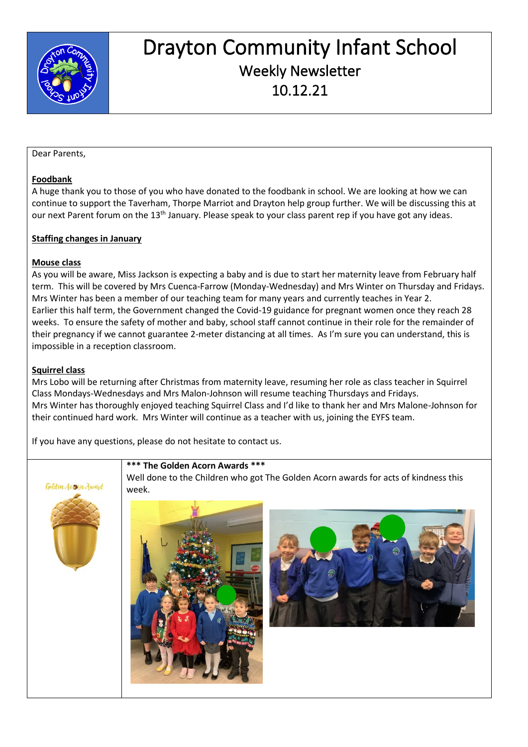

## Drayton Community Infant School Weekly Newsletter 10.12.21

#### Dear Parents,

#### **Foodbank**

A huge thank you to those of you who have donated to the foodbank in school. We are looking at how we can continue to support the Taverham, Thorpe Marriot and Drayton help group further. We will be discussing this at our next Parent forum on the 13<sup>th</sup> January. Please speak to your class parent rep if you have got any ideas.

#### **Staffing changes in January**

#### **Mouse class**

As you will be aware, Miss Jackson is expecting a baby and is due to start her maternity leave from February half term. This will be covered by Mrs Cuenca-Farrow (Monday-Wednesday) and Mrs Winter on Thursday and Fridays. Mrs Winter has been a member of our teaching team for many years and currently teaches in Year 2. Earlier this half term, the Government changed the Covid-19 guidance for pregnant women once they reach 28 weeks. To ensure the safety of mother and baby, school staff cannot continue in their role for the remainder of their pregnancy if we cannot guarantee 2-meter distancing at all times. As I'm sure you can understand, this is impossible in a reception classroom.

#### **Squirrel class**

Mrs Lobo will be returning after Christmas from maternity leave, resuming her role as class teacher in Squirrel Class Mondays-Wednesdays and Mrs Malon-Johnson will resume teaching Thursdays and Fridays. Mrs Winter has thoroughly enjoyed teaching Squirrel Class and I'd like to thank her and Mrs Malone-Johnson for their continued hard work. Mrs Winter will continue as a teacher with us, joining the EYFS team.

If you have any questions, please do not hesitate to contact us.



#### **\*\*\* The Golden Acorn Awards \*\*\***

Well done to the Children who got The Golden Acorn awards for acts of kindness this week.



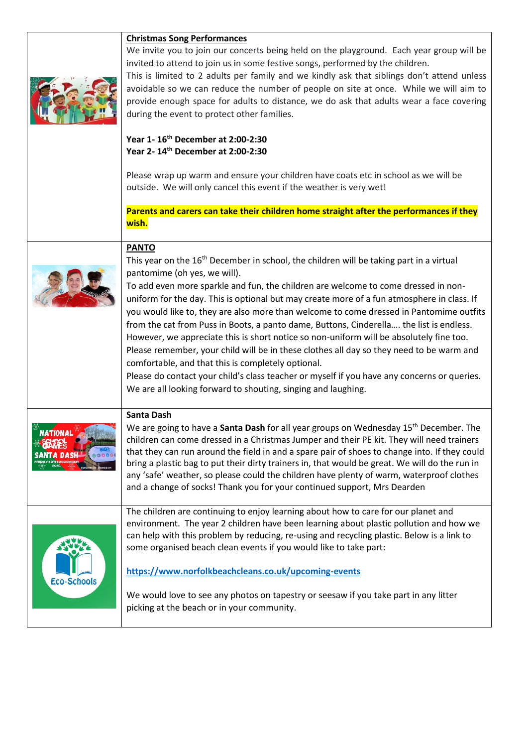|                    | <b>Christmas Song Performances</b>                                                                       |
|--------------------|----------------------------------------------------------------------------------------------------------|
|                    | We invite you to join our concerts being held on the playground. Each year group will be                 |
|                    | invited to attend to join us in some festive songs, performed by the children.                           |
|                    | This is limited to 2 adults per family and we kindly ask that siblings don't attend unless               |
|                    | avoidable so we can reduce the number of people on site at once. While we will aim to                    |
|                    | provide enough space for adults to distance, we do ask that adults wear a face covering                  |
|                    | during the event to protect other families.                                                              |
|                    |                                                                                                          |
|                    | Year 1-16 <sup>th</sup> December at 2:00-2:30<br>Year 2-14th December at 2:00-2:30                       |
|                    |                                                                                                          |
|                    | Please wrap up warm and ensure your children have coats etc in school as we will be                      |
|                    | outside. We will only cancel this event if the weather is very wet!                                      |
|                    | Parents and carers can take their children home straight after the performances if they                  |
|                    | wish.                                                                                                    |
|                    |                                                                                                          |
|                    | <b>PANTO</b>                                                                                             |
|                    | This year on the 16 <sup>th</sup> December in school, the children will be taking part in a virtual      |
|                    | pantomime (oh yes, we will).                                                                             |
|                    | To add even more sparkle and fun, the children are welcome to come dressed in non-                       |
|                    | uniform for the day. This is optional but may create more of a fun atmosphere in class. If               |
|                    |                                                                                                          |
|                    | you would like to, they are also more than welcome to come dressed in Pantomime outfits                  |
|                    | from the cat from Puss in Boots, a panto dame, Buttons, Cinderella the list is endless.                  |
|                    | However, we appreciate this is short notice so non-uniform will be absolutely fine too.                  |
|                    | Please remember, your child will be in these clothes all day so they need to be warm and                 |
|                    | comfortable, and that this is completely optional.                                                       |
|                    | Please do contact your child's class teacher or myself if you have any concerns or queries.              |
|                    | We are all looking forward to shouting, singing and laughing.                                            |
|                    |                                                                                                          |
|                    | <b>Santa Dash</b>                                                                                        |
|                    | We are going to have a <b>Santa Dash</b> for all year groups on Wednesday 15 <sup>th</sup> December. The |
|                    | children can come dressed in a Christmas Jumper and their PE kit. They will need trainers                |
|                    | that they can run around the field in and a spare pair of shoes to change into. If they could            |
|                    | bring a plastic bag to put their dirty trainers in, that would be great. We will do the run in           |
|                    | any 'safe' weather, so please could the children have plenty of warm, waterproof clothes                 |
|                    | and a change of socks! Thank you for your continued support, Mrs Dearden                                 |
|                    |                                                                                                          |
|                    | The children are continuing to enjoy learning about how to care for our planet and                       |
|                    | environment. The year 2 children have been learning about plastic pollution and how we                   |
|                    | can help with this problem by reducing, re-using and recycling plastic. Below is a link to               |
|                    | some organised beach clean events if you would like to take part:                                        |
|                    |                                                                                                          |
|                    | https://www.norfolkbeachcleans.co.uk/upcoming-events                                                     |
| <b>Eco-Schools</b> |                                                                                                          |
|                    | We would love to see any photos on tapestry or seesaw if you take part in any litter                     |
|                    | picking at the beach or in your community.                                                               |
|                    |                                                                                                          |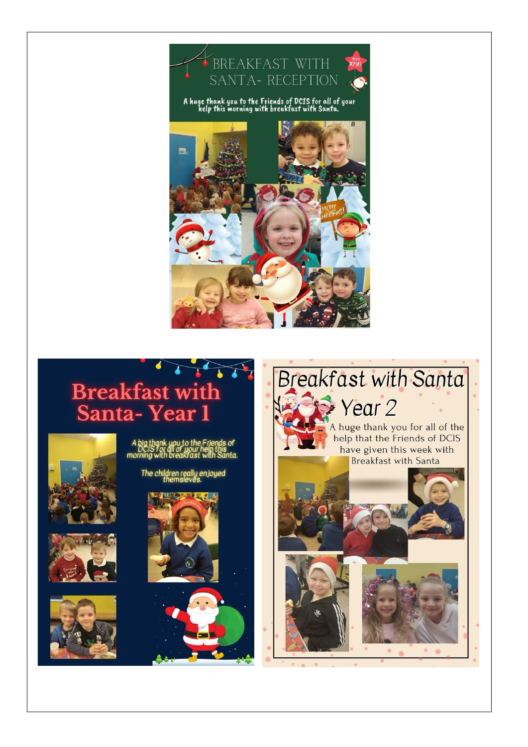

# Breakfast with<br>Santa-Year 1















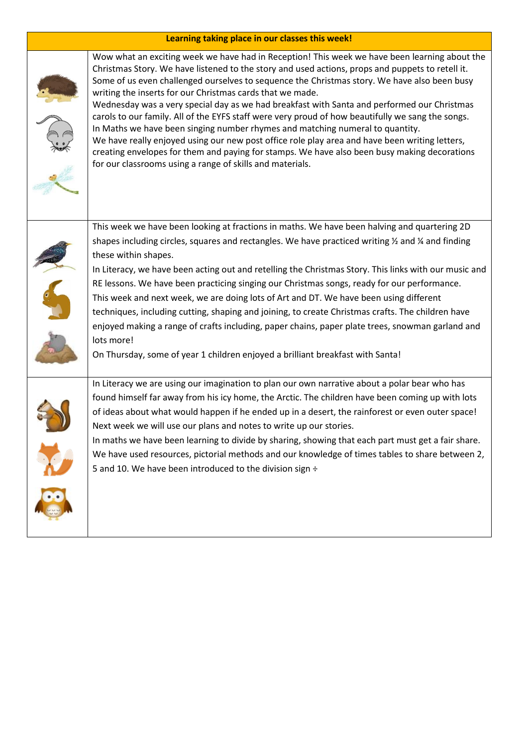#### **Learning taking place in our classes this week!**



Wow what an exciting week we have had in Reception! This week we have been learning about the Christmas Story. We have listened to the story and used actions, props and puppets to retell it. Some of us even challenged ourselves to sequence the Christmas story. We have also been busy

Wednesday was a very special day as we had breakfast with Santa and performed our Christmas carols to our family. All of the EYFS staff were very proud of how beautifully we sang the songs. In Maths we have been singing number rhymes and matching numeral to quantity.

We have really enjoyed using our new post office role play area and have been writing letters, creating envelopes for them and paying for stamps. We have also been busy making decorations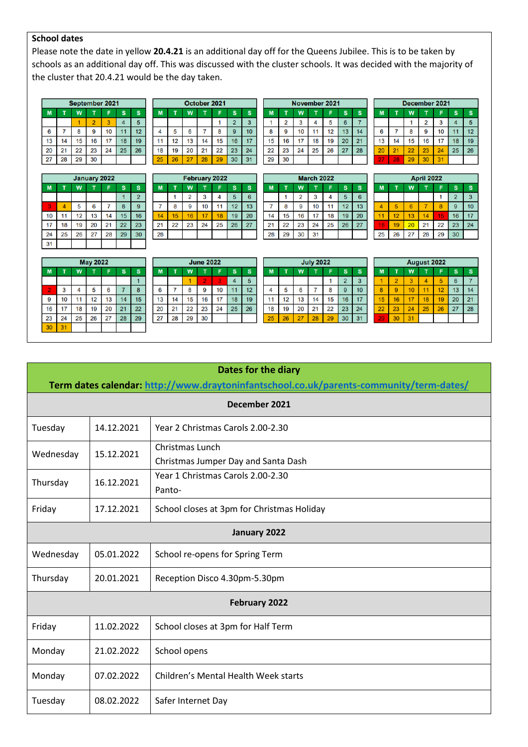### **School dates**

Please note the date in yellow **20.4.21** is an additional day off for the Queens Jubilee. This is to be taken by schools as an additional day off. This was discussed with the cluster schools. It was decided with the majority of the cluster that 20.4.21 would be the day taken.

 $\overline{\mathsf{M}}$ 

 $\overline{\mathbf{8}}$  $16$  $17<sup>2</sup>$  $18$  $19$  $20\degree$  $21$ 

 $15<sub>15</sub>$  $22$  $23$  $24$ 25  $26$  $\overline{27}$  $\overline{28}$ 

T  $\overline{1}$  $\overline{2}$  $\overline{3}$  $\overline{4}$  $\overline{5}$  $6\overline{6}$  $\overline{7}$ 

> $9$  $10<sup>°</sup>$  $11$  $12<sup>7</sup>$  $13$  $14$

|    | September 2021 |    |                |    |    |    |  |    |  |
|----|----------------|----|----------------|----|----|----|--|----|--|
| M  |                | W  |                | F  | S  | S  |  | M  |  |
|    |                |    | $\overline{2}$ | 3  |    | 5  |  |    |  |
| 6  |                | 8  |                | 10 |    | 12 |  |    |  |
| 13 |                | 15 | 16             |    | 18 | 19 |  | 11 |  |
| 20 | 21             | 22 | 23             | 24 | 25 | 26 |  | 18 |  |
| 27 | 28             | 29 | 30             |    |    |    |  | 25 |  |

| <b>January 2022</b> |    |    |    |    |    |                |  |  |  |  |
|---------------------|----|----|----|----|----|----------------|--|--|--|--|
| M                   | T  | W  | ī  | F  | S  | S              |  |  |  |  |
|                     |    |    |    |    |    | $\overline{2}$ |  |  |  |  |
| 3                   |    | 5  | 6  |    | 8  | 9              |  |  |  |  |
| 10                  | 11 | 12 | 13 | 14 | 15 | 16             |  |  |  |  |
| 17                  | 18 | 19 | 20 | 21 | 22 | 23             |  |  |  |  |
| 24                  | 25 | 26 | 27 | 28 | 29 | 30             |  |  |  |  |
| 31                  |    |    |    |    |    |                |  |  |  |  |

| W<br>S<br>M<br>S<br>$\mathbf{2}$<br>3<br>5<br>10<br>6<br>8<br>9<br>12<br>13<br>15<br>16<br>17<br>14<br>11<br>22<br>23<br>24<br>18<br>20<br>19<br>21 |    | October 2021 |  |    |  |    |    |  |  |  |  |
|-----------------------------------------------------------------------------------------------------------------------------------------------------|----|--------------|--|----|--|----|----|--|--|--|--|
|                                                                                                                                                     |    |              |  |    |  |    |    |  |  |  |  |
|                                                                                                                                                     |    |              |  |    |  |    |    |  |  |  |  |
|                                                                                                                                                     |    |              |  |    |  |    |    |  |  |  |  |
|                                                                                                                                                     |    |              |  |    |  |    |    |  |  |  |  |
|                                                                                                                                                     |    |              |  |    |  |    |    |  |  |  |  |
| 26<br>29<br>27                                                                                                                                      | 25 |              |  | 28 |  | 30 | 31 |  |  |  |  |

|    | <b>February 2022</b> |                |    |    |              |    |  |  |  |  |
|----|----------------------|----------------|----|----|--------------|----|--|--|--|--|
| M  |                      | W              |    | F  | $\mathbf{s}$ | S  |  |  |  |  |
|    |                      | $\overline{2}$ | 3  |    | 5            | 6  |  |  |  |  |
|    | 8                    | 9              | 10 | 11 | 12           | 13 |  |  |  |  |
| 14 | 15                   | 16             | 17 | 18 | 19           | 20 |  |  |  |  |
| 21 | 22                   | 23             | 24 | 25 | 26           | 27 |  |  |  |  |
| 28 |                      |                |    |    |              |    |  |  |  |  |

| 29 | 30 |    |                   |    |    |    |
|----|----|----|-------------------|----|----|----|
|    |    |    |                   |    |    |    |
|    |    |    | <b>March 2022</b> |    |    |    |
| M  | T  | W  | T                 | F  | S  | S  |
|    |    | 2  | 3                 | 4  | 5  | 6  |
|    | 8  | 9  | 10                | 11 | 12 | 13 |
| 14 | 15 | 16 | 17                | 18 | 19 | 20 |
| 21 | 22 | 23 | 24                | 25 | 26 | 27 |
| 28 | 29 | 30 | 31                |    |    |    |

November 2021  $\overline{\mathsf{w}}$ 

 $\mathbf T$ F  $\mathbf{s}$  $\sf{s}$ 

|    | December 2021 |    |    |    |    |    |  |  |  |  |
|----|---------------|----|----|----|----|----|--|--|--|--|
| M  |               | W  |    |    | S  | S  |  |  |  |  |
|    |               |    | 2  | 3  |    | 5  |  |  |  |  |
| 6  |               | 8  | 9  | 10 |    | 12 |  |  |  |  |
| 13 | 14            | 15 | 16 | 17 | 18 | 19 |  |  |  |  |
| 20 | 21            | 22 | 23 | 24 | 25 | 26 |  |  |  |  |
|    | 28            |    |    |    |    |    |  |  |  |  |

|    | April 2022 |    |    |    |                |    |  |  |  |  |
|----|------------|----|----|----|----------------|----|--|--|--|--|
| M  |            | W  |    | F  | S              | S  |  |  |  |  |
|    |            |    |    |    | $\overline{2}$ | 3  |  |  |  |  |
|    | 5          | 6  |    | 8  | 9              | 10 |  |  |  |  |
|    | 12         | 13 | 14 | 15 | 16             | 17 |  |  |  |  |
| 18 | 19         | 20 | 21 | 22 | 23             | 24 |  |  |  |  |
| 25 | 26         | 27 | 28 | 29 | 30             |    |  |  |  |  |

| <b>May 2022</b> |    |    |    |    |    |    |  |  |  |  |
|-----------------|----|----|----|----|----|----|--|--|--|--|
| M               | T  | W  | T  | F  | S  | s  |  |  |  |  |
|                 |    |    |    |    |    |    |  |  |  |  |
| $\overline{2}$  | 3  | 4  | 5  | 6  |    | 8  |  |  |  |  |
| 9               | 10 | 11 | 12 | 13 | 14 | 15 |  |  |  |  |
| 16              | 17 | 18 | 19 | 20 | 21 | 22 |  |  |  |  |
| 23              | 24 | 25 | 26 | 27 | 28 | 29 |  |  |  |  |
| 30              | 31 |    |    |    |    |    |  |  |  |  |

| <b>June 2022</b> |    |    |    |    |    |    |  |  |  |
|------------------|----|----|----|----|----|----|--|--|--|
| M                |    | W  | T  | F  | S  | S  |  |  |  |
|                  |    |    | 2  | 3  |    | 5  |  |  |  |
| 6                |    | 8  | 9  | 10 |    | 12 |  |  |  |
| 13               | 14 | 15 | 16 | 17 | 18 | 19 |  |  |  |
| 20               | 21 | 22 | 23 | 24 | 25 | 26 |  |  |  |
| 27               | 28 | 29 | 30 |    |    |    |  |  |  |

|   | <b>July 2022</b> |    |    |    |                |    |  |  |  |  |  |
|---|------------------|----|----|----|----------------|----|--|--|--|--|--|
| Λ |                  | W  |    |    | S              | S  |  |  |  |  |  |
|   |                  |    |    |    | $\overline{2}$ | 3  |  |  |  |  |  |
|   | 5                | 6  |    | 8  | 9              | 10 |  |  |  |  |  |
|   | 12               | 13 | 14 | 15 | 16             | 17 |  |  |  |  |  |
| B | 19               | 20 | 21 | 22 | 23             | 24 |  |  |  |  |  |
| 5 | 26               |    | 28 | 29 | 30             | 3  |  |  |  |  |  |

|    | <b>August 2022</b> |    |    |    |    |    |  |  |  |  |
|----|--------------------|----|----|----|----|----|--|--|--|--|
| M  |                    | W  | ī  | F  | S  | S  |  |  |  |  |
|    | $\overline{2}$     | 3  |    | 5  | 6  |    |  |  |  |  |
| 8  | 9                  | 10 |    | 12 | 13 | 14 |  |  |  |  |
| 15 | 16                 | 17 | 18 | 19 | 20 | 21 |  |  |  |  |
| 22 | 23                 | 24 | 25 | 26 | 27 | 28 |  |  |  |  |
|    | 30                 | 31 |    |    |    |    |  |  |  |  |

| Dates for the diary                                                                     |            |                                                        |  |
|-----------------------------------------------------------------------------------------|------------|--------------------------------------------------------|--|
| Term dates calendar: http://www.draytoninfantschool.co.uk/parents-community/term-dates/ |            |                                                        |  |
| December 2021                                                                           |            |                                                        |  |
| Tuesday                                                                                 | 14.12.2021 | Year 2 Christmas Carols 2.00-2.30                      |  |
| Wednesday                                                                               | 15.12.2021 | Christmas Lunch<br>Christmas Jumper Day and Santa Dash |  |
| Thursday                                                                                | 16.12.2021 | Year 1 Christmas Carols 2.00-2.30<br>Panto-            |  |
| Friday                                                                                  | 17.12.2021 | School closes at 3pm for Christmas Holiday             |  |
| January 2022                                                                            |            |                                                        |  |
| Wednesday                                                                               | 05.01.2022 | School re-opens for Spring Term                        |  |
| Thursday                                                                                | 20.01.2021 | Reception Disco 4.30pm-5.30pm                          |  |
| <b>February 2022</b>                                                                    |            |                                                        |  |
| Friday                                                                                  | 11.02.2022 | School closes at 3pm for Half Term                     |  |
| Monday                                                                                  | 21.02.2022 | School opens                                           |  |
| Monday                                                                                  | 07.02.2022 | Children's Mental Health Week starts                   |  |
| Tuesday                                                                                 | 08.02.2022 | Safer Internet Day                                     |  |